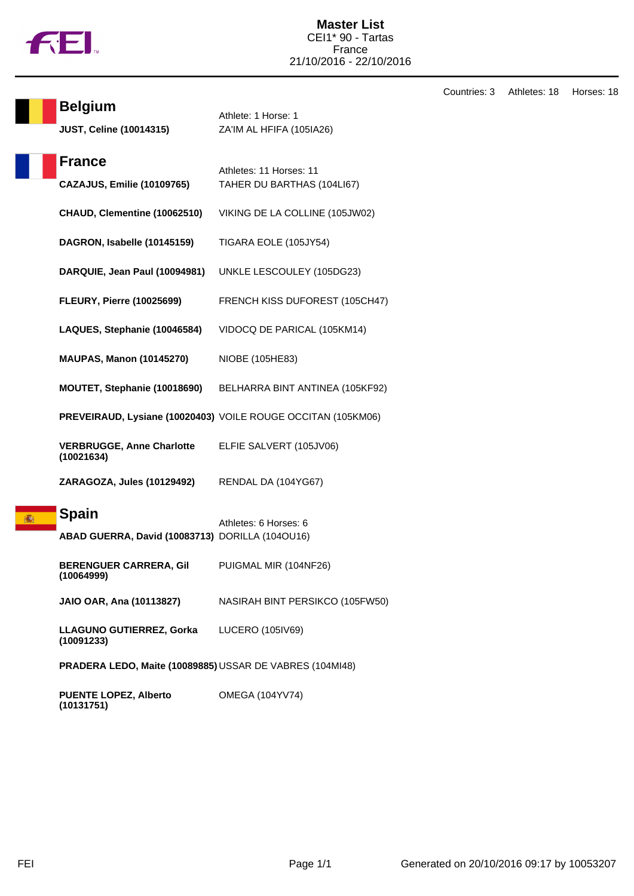

| Countries: 3 | Athletes: 18 | Horses: 18 |
|--------------|--------------|------------|
|--------------|--------------|------------|

| <b>Belgium</b><br><b>JUST, Celine (10014315)</b>                | Athlete: 1 Horse: 1<br>ZA'IM AL HFIFA (105IA26)              | v |
|-----------------------------------------------------------------|--------------------------------------------------------------|---|
| <b>France</b><br><b>CAZAJUS, Emilie (10109765)</b>              | Athletes: 11 Horses: 11<br>TAHER DU BARTHAS (104LI67)        |   |
| CHAUD, Clementine (10062510)                                    | VIKING DE LA COLLINE (105JW02)                               |   |
| DAGRON, Isabelle (10145159)                                     | TIGARA EOLE (105JY54)                                        |   |
| DARQUIE, Jean Paul (10094981)                                   | UNKLE LESCOULEY (105DG23)                                    |   |
| <b>FLEURY, Pierre (10025699)</b>                                | FRENCH KISS DUFOREST (105CH47)                               |   |
| LAQUES, Stephanie (10046584)                                    | VIDOCQ DE PARICAL (105KM14)                                  |   |
| <b>MAUPAS, Manon (10145270)</b>                                 | NIOBE (105HE83)                                              |   |
| MOUTET, Stephanie (10018690)                                    | BELHARRA BINT ANTINEA (105KF92)                              |   |
|                                                                 | PREVEIRAUD, Lysiane (10020403) VOILE ROUGE OCCITAN (105KM06) |   |
| <b>VERBRUGGE, Anne Charlotte</b><br>(10021634)                  | ELFIE SALVERT (105JV06)                                      |   |
| ZARAGOZA, Jules (10129492)                                      | RENDAL DA (104YG67)                                          |   |
| <b>Spain</b><br>ABAD GUERRA, David (10083713) DORILLA (104OU16) | Athletes: 6 Horses: 6                                        |   |
| <b>BERENGUER CARRERA, Gil</b><br>(10064999)                     | PUIGMAL MIR (104NF26)                                        |   |
| JAIO OAR, Ana (10113827)                                        | NASIRAH BINT PERSIKCO (105FW50)                              |   |
| LLAGUNO GUTIERREZ, Gorka<br>(10091233)                          | LUCERO (105IV69)                                             |   |
| PRADERA LEDO, Maite (10089885) USSAR DE VABRES (104MI48)        |                                                              |   |

| <b>PUENTE LOPEZ, Alberto</b> | OMEGA (104YV74) |
|------------------------------|-----------------|
| (10131751)                   |                 |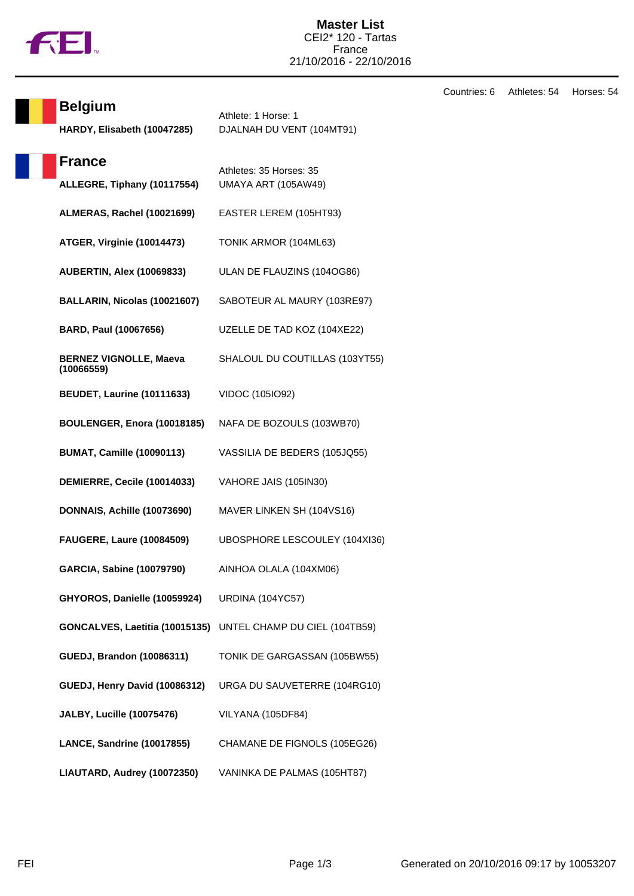

Countries: 6 Athletes: 54 Horses: 54

| <b>Belgium</b><br>HARDY, Elisabeth (10047285) | Athlete: 1 Horse: 1<br>DJALNAH DU VENT (104MT91)             |
|-----------------------------------------------|--------------------------------------------------------------|
| <b>France</b><br>ALLEGRE, Tiphany (10117554)  | Athletes: 35 Horses: 35<br><b>UMAYA ART (105AW49)</b>        |
| ALMERAS, Rachel (10021699)                    | EASTER LEREM (105HT93)                                       |
| ATGER, Virginie (10014473)                    | TONIK ARMOR (104ML63)                                        |
| <b>AUBERTIN, Alex (10069833)</b>              | ULAN DE FLAUZINS (104OG86)                                   |
| BALLARIN, Nicolas (10021607)                  | SABOTEUR AL MAURY (103RE97)                                  |
| BARD, Paul (10067656)                         | UZELLE DE TAD KOZ (104XE22)                                  |
| <b>BERNEZ VIGNOLLE, Maeva</b><br>(10066559)   | SHALOUL DU COUTILLAS (103YT55)                               |
| <b>BEUDET, Laurine (10111633)</b>             | VIDOC (105IO92)                                              |
| BOULENGER, Enora (10018185)                   | NAFA DE BOZOULS (103WB70)                                    |
| <b>BUMAT, Camille (10090113)</b>              | VASSILIA DE BEDERS (105JQ55)                                 |
| DEMIERRE, Cecile (10014033)                   | VAHORE JAIS (105IN30)                                        |
| DONNAIS, Achille (10073690)                   | MAVER LINKEN SH (104VS16)                                    |
| <b>FAUGERE, Laure (10084509)</b>              | UBOSPHORE LESCOULEY (104XI36)                                |
| <b>GARCIA, Sabine (10079790)</b>              | AINHOA OLALA (104XM06)                                       |
| GHYOROS, Danielle (10059924)                  | <b>URDINA (104YC57)</b>                                      |
|                                               | GONCALVES, Laetitia (10015135) UNTEL CHAMP DU CIEL (104TB59) |
| <b>GUEDJ, Brandon (10086311)</b>              | TONIK DE GARGASSAN (105BW55)                                 |
| GUEDJ, Henry David (10086312)                 | URGA DU SAUVETERRE (104RG10)                                 |
| <b>JALBY, Lucille (10075476)</b>              | VILYANA (105DF84)                                            |
| LANCE, Sandrine (10017855)                    | CHAMANE DE FIGNOLS (105EG26)                                 |
| LIAUTARD, Audrey (10072350)                   | VANINKA DE PALMAS (105HT87)                                  |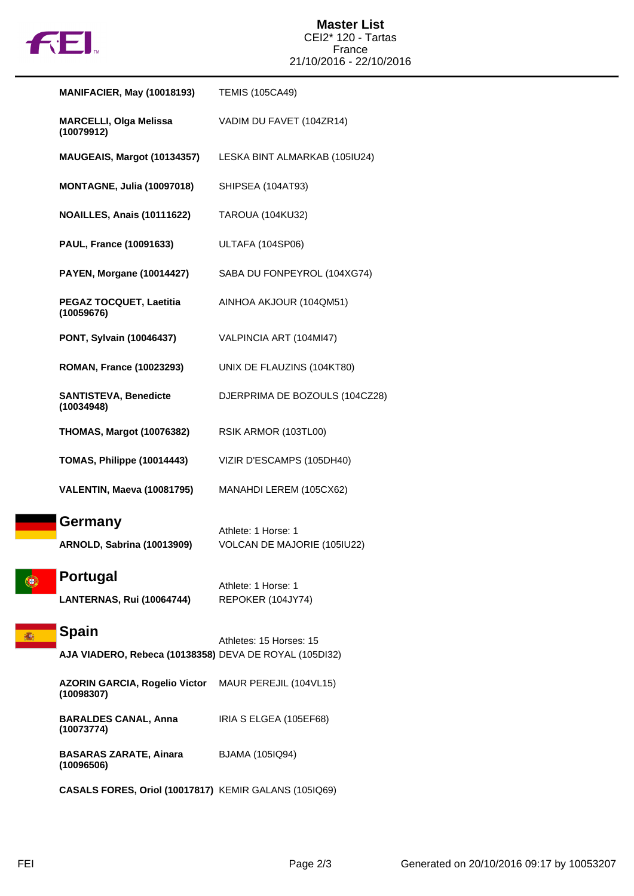

| <b>MANIFACIER, May (10018193)</b>                                      | <b>TEMIS (105CA49)</b>                             |
|------------------------------------------------------------------------|----------------------------------------------------|
| <b>MARCELLI, Olga Melissa</b><br>(10079912)                            | VADIM DU FAVET (104ZR14)                           |
| MAUGEAIS, Margot (10134357)                                            | LESKA BINT ALMARKAB (105IU24)                      |
| <b>MONTAGNE, Julia (10097018)</b>                                      | SHIPSEA (104AT93)                                  |
| NOAILLES, Anais (10111622)                                             | <b>TAROUA (104KU32)</b>                            |
| <b>PAUL, France (10091633)</b>                                         | ULTAFA (104SP06)                                   |
| <b>PAYEN, Morgane (10014427)</b>                                       | SABA DU FONPEYROL (104XG74)                        |
| PEGAZ TOCQUET, Laetitia<br>(10059676)                                  | AINHOA AKJOUR (104QM51)                            |
| <b>PONT, Sylvain (10046437)</b>                                        | VALPINCIA ART (104MI47)                            |
| <b>ROMAN, France (10023293)</b>                                        | UNIX DE FLAUZINS (104KT80)                         |
| <b>SANTISTEVA, Benedicte</b><br>(10034948)                             | DJERPRIMA DE BOZOULS (104CZ28)                     |
| <b>THOMAS, Margot (10076382)</b>                                       | RSIK ARMOR (103TL00)                               |
| TOMAS, Philippe (10014443)                                             | VIZIR D'ESCAMPS (105DH40)                          |
| VALENTIN, Maeva (10081795)                                             | MANAHDI LEREM (105CX62)                            |
| <b>Germany</b><br>ARNOLD, Sabrina (10013909)                           | Athlete: 1 Horse: 1<br>VOLCAN DE MAJORIE (105IU22) |
| <b>Portugal</b><br><b>LANTERNAS, Rui (10064744)</b>                    | Athlete: 1 Horse: 1<br>REPOKER (104JY74)           |
| <b>Spain</b><br>AJA VIADERO, Rebeca (10138358) DEVA DE ROYAL (105DI32) | Athletes: 15 Horses: 15                            |
| <b>AZORIN GARCIA, Rogelio Victor</b><br>(10098307)                     | MAUR PEREJIL (104VL15)                             |
| <b>BARALDES CANAL, Anna</b><br>(10073774)                              | IRIA S ELGEA (105EF68)                             |
| <b>BASARAS ZARATE, Ainara</b><br>(10096506)                            | BJAMA (105IQ94)                                    |
| CASALS FORES, Oriol (10017817) KEMIR GALANS (105IQ69)                  |                                                    |